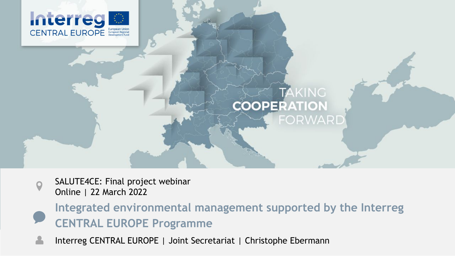



SALUTE4CE: Final project webinar Online | 22 March 2022

**Integrated environmental management supported by the Interreg CENTRAL EUROPE Programme**

Interreg CENTRAL EUROPE | Joint Secretariat | Christophe Ebermann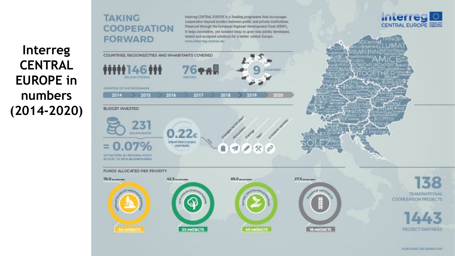## **COOPERATION Interreg CENTRAL**

**TAKING** 

**EUROPE in** 

**numbers** 

**(2014-2020)**

tested and accepted solutions for a better central Europe. **FORWARD** www.lnterreg-central.eu COUNTRIES, REGIONS/CITIES AND INHABITANTS COVERED **76\*\* COUNTRIES MELION CITIEENS** RODIONS **DURATION DE THE ROCKBANNIE** 2016 2017 2015 2018 2020 2014 2019 **BUDGET INVESTED** 231 **MILION QUEDE SPORT PER CITIZEN**  $.07\%$ PERYEAR  $x - 3$ OF THE TOTAL BU RECKTAAL POLICY **BUCKET CE TO A BILLION CHAOS** FUNDS ALLOCATED PER PRIORITY 76.0 шининг 42.5 minutes  $85.0$  m/m mm 27.5 m.m.s. **COOPERATION PROJECTS** 16 PROJECTS 25 PROJECTS 49 PROJECTS

Interreg CENTRAL EUROPE Is a funding programme that encourages cooperation beyond borders between public and private institutions.

Financed through the European Regional Development Fund (ERDF),

It helps innovative, yet isolated ideas to grow into jointly developed,





**TRANSNATIONAL**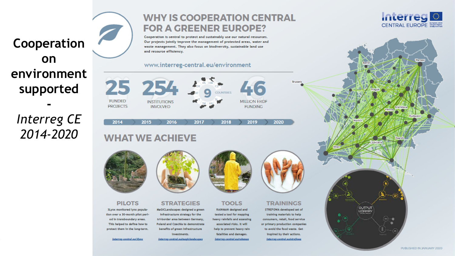## **Cooperation on environment supported**

**-** *Interreg CE 2014-2020*

### **WHY IS COOPERATION CENTRAL FOR A GREENER EUROPE?**

Cooperation is central to protect and sustainably use our natural resources. Our projects jointly improve the management of protected areas, water and waste management. They also focus on biodiversity, sustainable land use and resource efficiency.

#### www.interreg-central.eu/environment



2017

2018

**TOOLS** 

**RAINMAN** designed and

tested a tool for mapping

heavy rainfalls and assessing

associated risks. It will

help to prevent heavy rain

fatalities and damages.

Interree-central.eutrainman

2019

### **WHAT WE ACHIEVE**

2015



2014

**PILOTS** 3Lynx monitored lynx population over a 30-month pilot period in transboundary areas. This helped to define how to protect them in the long-term.

interreg-central.eu/3hmx



2016

#### **STRATEGIES**

MaGICLandscapes designed a green infrastructure strategy for the tri-border area between Germany, Poland and Czechia to demonstrate benefits of green infrastructure investments.

interrep-central.eu/mogiclandscapez



2020

#### **TRAININGS**

STREFOWA developed set of training materials to help consumers, retail, food service or primary production companies to avoid the food waste. Get inspired by their actions.



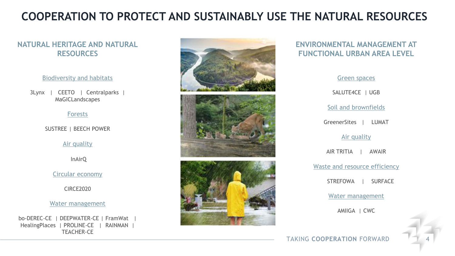### **COOPERATION TO PROTECT AND SUSTAINABLY USE THE NATURAL RESOURCES**

#### **NATURAL HERITAGE AND NATURAL RESOURCES**

#### Biodiversity and habitats

3Lynx | CEETO | Centralparks | MaGICLandscapes

#### Forests

SUSTREE | BEECH POWER

#### Air quality

InAirQ

Circular economy

CIRCE2020

#### Water management

bo-DEREC-CE | DEEPWATER-CE | FramWat | HealingPlaces | PROLINE-CE | RAINMAN | TEACHER-CE



#### **ENVIRONMENTAL MANAGEMENT AT FUNCTIONAL URBAN AREA LEVEL**

Green spaces SALUTE4CE | UGB Soil and brownfields GreenerSites | LUMAT Air quality AIR TRITIA | AWAIR Waste and resource efficiency STREFOWA | SURFACE Water management AMIIGA | CWC

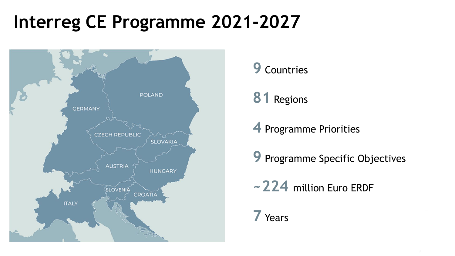# **Interreg CE Programme 2021-2027**



Countries

Regions

Programme Priorities

Programme Specific Objectives

**~224** million Euro ERDF

### Years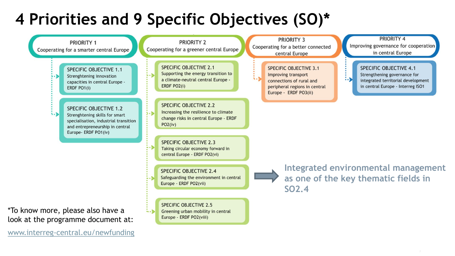## **4 Priorities and 9 Specific Objectives (SO)\***

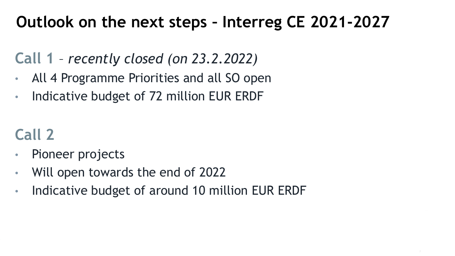## **Outlook on the next steps – Interreg CE 2021-2027**

## **Call 1** – *recently closed (on 23.2.2022)*

- All 4 Programme Priorities and all SO open
- Indicative budget of 72 million EUR ERDF

## **Call 2**

- Pioneer projects
- Will open towards the end of 2022
- Indicative budget of around 10 million EUR ERDF